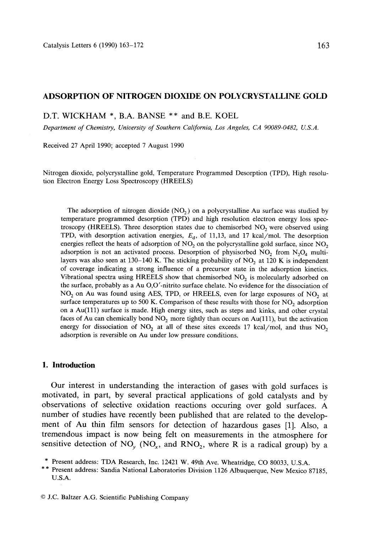## **ADSORPTION OF NITROGEN DIOXIDE ON POLYCRYSTALLINE GOLD**

**D.T.** WICKHAM \*, B.A. BANSE **\*\* and B.E.** KOEL

*Department of Chemistry, University of Southern California, Los Angeles, CA 90089-0482, U.S.A.* 

Received 27 April 1990; accepted 7 August 1990

Nitrogen dioxide, polycrystalline gold, Temperature Programmed Desorption (TPD), High resolution Electron Energy Loss Spectroscopy (HREELS)

The adsorption of nitrogen dioxide  $(NO<sub>2</sub>)$  on a polycrystalline Au surface was studied by temperature programmed desorption (TPD) and high resolution electron energy loss spectroscopy (HREELS). Three desorption states due to chemisorbed  $NO<sub>2</sub>$  were observed using TPD, with desorption activation energies,  $E<sub>d</sub>$ , of 11,13, and 17 kcal/mol. The desorption energies reflect the heats of adsorption of  $NO<sub>2</sub>$  on the polycrystalline gold surface, since  $NO<sub>2</sub>$ adsorption is not an activated process. Desorption of physisorbed  $NO<sub>2</sub>$  from  $N<sub>2</sub>O<sub>4</sub>$  multilayers was also seen at  $130-140$  K. The sticking probability of NO<sub>2</sub> at  $120$  K is independent of coverage indicating a strong influence of a precursor state in the adsorption kinetics. Vibrational spectra using HREELS show that chemisorbed  $NO<sub>2</sub>$  is molecularly adsorbed on the surface, probably as a Au O,O'-nitrito surface chelate. No evidence for the dissociation of  $NO<sub>2</sub>$  on Au was found using AES, TPD, or HREELS, even for large exposures of NO<sub>2</sub> at surface temperatures up to 500 K. Comparison of these results with those for  $NO<sub>2</sub>$  adsorption on a Au(111) surface is made. High energy sites, such as steps and kinks, and other crystal faces of Au can chemically bond  $NO<sub>2</sub>$  more tightly than occurs on Au(111), but the activation energy for dissociation of  $NO<sub>2</sub>$  at all of these sites exceeds 17 kcal/mol, and thus  $NO<sub>2</sub>$ adsorption is reversible on Au under low pressure conditions.

## **1. Introduction**

Our interest in understanding the interaction of gases with gold surfaces is motivated, in part, by several practical applications of gold catalysts and by observations of selective oxidation reactions occuring over gold surfaces. A number of studies have recently been published that are related to the development of Au thin film sensors for detection of hazardous gases [1]. Also, a tremendous impact is now being felt on measurements in the atmosphere for sensitive detection of NO<sub>v</sub> (NO<sub>x</sub>, and RNO<sub>2</sub>, where R is a radical group) by a

<sup>\*</sup> Present address: TDA Research, Inc. 12421 W. 49th Ave. Wheatridge, CO 80033, U.S.A.

**<sup>\* \*</sup>** Present address: Sandia National Laboratories Division 1126 Albuquerque, New Mexico 87185, U.S.A.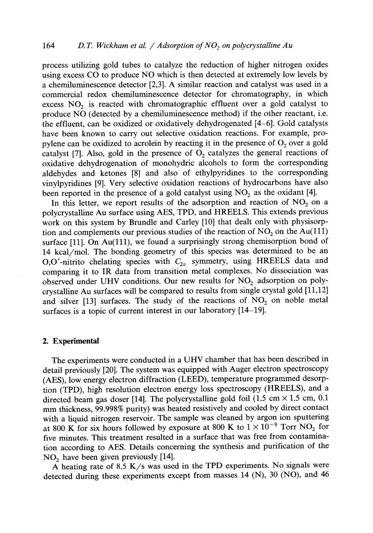process utilizing gold tubes to catalyze the reduction of higher nitrogen oxides using excess CO to produce NO which is then detected at extremely low levels by a chemiluminescence detector [2,3]. A similar reaction and catalyst was used in a commercial redox chemiluminescence detector for chromatography, in which excess  $NO<sub>2</sub>$  is reacted with chromatographic effluent over a gold catalyst to produce NO (detected by a chemiluminescence method) if the other reactant, i.e. the effluent, can be oxidized or oxidatively dehydrogenated [4-6]. Gold catalysts have been known to carry out selective oxidation reactions. For example, propylene can be oxidized to acrolein by reacting it in the presence of  $O_2$  over a gold catalyst [7]. Also, gold in the presence of  $O<sub>2</sub>$  catalyzes the general reactions of oxidative dehydrogenation of monohydric alcohols to form the corresponding aldehydes and ketones [8] and also of ethylpyridines to the corresponding vinylpyridines [9]. Very selective oxidation reactions of hydrocarbons have also been reported in the presence of a gold catalyst using  $NO<sub>2</sub>$  as the oxidant [4].

In this letter, we report results of the adsorption and reaction of  $NO<sub>2</sub>$  on a polycrystalline Au surface using AES, TPD, and HREELS. This extends previous work on this system by Brundle and Carley [10] that dealt only with physisorption and complements our previous studies of the reaction of  $NO<sub>2</sub>$  on the Au(111) surface [11]. On Au(111), we found a surprisingly strong chemisorption bond of 14 kcal/mol. The bonding geometry of this species was determined to be an O,O'-nitrito chelating species with  $C_{2v}$  symmetry, using HREELS data and comparing it to IR data from transition metal complexes. No dissociation was observed under UHV conditions. Our new results for  $NO<sub>2</sub>$  adsorption on polycrystalline Au surfaces will be compared to results from single crystal gold [11,12] and silver [13] surfaces. The study of the reactions of  $NO<sub>2</sub>$  on noble metal surfaces is a topic of current interest in our laboratory [14-19].

#### **2. Experimental**

The experiments were conducted in a UHV chamber that has been described in detail previously [20]. The system was equipped with Auger electron spectroscopy (AES), low energy electron diffraction (LEED), temperature programmed desorption (TPD), high resolution electron energy loss spectroscopy (HREELS), and a directed beam gas doser [14]. The polycrystalline gold foil (1.5 cm  $\times$  1.5 cm, 0.1 mm thickness, 99.998% purity) was heated resistively and cooled by direct contact with a liquid nitrogen reservoir. The sample was cleaned by argon ion sputtering at 800 K for six hours followed by exposure at 800 K to  $1 \times 10^{-8}$  Torr NO<sub>2</sub> for five minutes. This treatment resulted in a surface that was free from contamination according to AES. Details concerning the synthesis and purification of the  $NO<sub>2</sub>$  have been given previously [14].

A heating rate of 8.5 K/s was used in the TPD experiments. No signals were detected during these experiments except from masses 14 (N), 30 (NO), and 46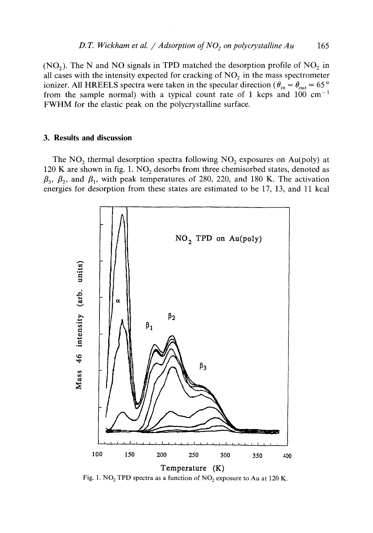(NO<sub>2</sub>). The N and NO signals in TPD matched the desorption profile of  $NO<sub>2</sub>$  in all cases with the intensity expected for cracking of  $NO<sub>2</sub>$  in the mass spectrometer ionizer. All HREELS spectra were taken in the specular direction ( $\theta_{in} = \theta_{out} = 65^{\circ}$ ) from the sample normal) with a typical count rate of 1 kcps and 100  $cm^{-1}$ FWHM for the elastic peak on the polycrystalline surface.

## **3. Results and discussion**

The  $NO<sub>2</sub>$  thermal desorption spectra following  $NO<sub>2</sub>$  exposures on Au(poly) at 120 K are shown in fig. 1.  $NO<sub>2</sub>$  desorbs from three chemisorbed states, denoted as  $\beta_3$ ,  $\beta_2$ , and  $\beta_1$ , with peak temperatures of 280, 220, and 180 K. The activation energies for desorption from these states are estimated to be 17, 13, and 11 kcal



Fig. 1. NO<sub>2</sub> TPD spectra as a function of NO<sub>2</sub> exposure to Au at 120 K.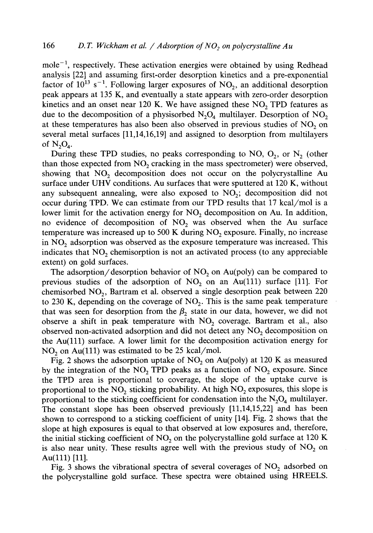mole<sup> $-1$ </sup>, respectively. These activation energies were obtained by using Redhead analysis [22] and assuming first-order desorption kinetics and a pre-exponential factor of  $10^{13}$  s<sup>-1</sup>. Following larger exposures of NO<sub>2</sub>, an additional desorption peak appears at 135 K, and eventually a state appears with zero-order desorption kinetics and an onset near 120 K. We have assigned these  $NO<sub>2</sub> TPD$  features as due to the decomposition of a physisorbed  $N_2O_4$  multilayer. Desorption of NO<sub>2</sub> at these temperatures has also been also observed in previous studies of  $NO<sub>2</sub>$  on several metal surfaces [11,14,16,19] and assigned to desorption from multilayers of  $N_2O_4$ .

During these TPD studies, no peaks corresponding to NO,  $O_2$ , or N<sub>2</sub> (other than those expected from  $NO<sub>2</sub>$  cracking in the mass spectrometer) were observed, showing that NO<sub>2</sub> decomposition does not occur on the polycrystalline Au surface under UHV conditions. Au surfaces that were sputtered at 120 K, without any subsequent annealing, were also exposed to  $NO<sub>2</sub>$ ; decomposition did not occur during TPD. We can estimate from our TPD results that 17 kcal/mol is a lower limit for the activation energy for  $NO<sub>2</sub>$  decomposition on Au. In addition, no evidence of decomposition of  $NO<sub>2</sub>$  was observed when the Au surface temperature was increased up to 500 K during  $NO<sub>2</sub>$  exposure. Finally, no increase in  $NO<sub>2</sub>$  adsorption was observed as the exposure temperature was increased. This indicates that  $NO<sub>2</sub>$  chemisorption is not an activated process (to any appreciable extent) on gold surfaces.

The adsorption/desorption behavior of NO, on Au(poly) can be compared to previous studies of the adsorption of  $NO<sub>2</sub>$  on an Au(111) surface [11]. For chemisorbed  $NO<sub>2</sub>$ , Bartram et al. observed a single desorption peak between 220 to 230 K, depending on the coverage of  $NO<sub>2</sub>$ . This is the same peak temperature that was seen for desorption from the  $\beta_2$  state in our data, however, we did not observe a shift in peak temperature with  $NO<sub>2</sub>$  coverage. Bartram et al., also observed non-activated adsorption and did not detect any  $NO<sub>2</sub>$  decomposition on the Au(lll) surface. A lower limit for the decomposition activation energy for  $NO<sub>2</sub>$  on Au(111) was estimated to be 25 kcal/mol.

Fig. 2 shows the adsorption uptake of  $NO<sub>2</sub>$  on Au(poly) at 120 K as measured by the integration of the NO<sub>2</sub> TPD peaks as a function of  $NO_2$  exposure. Since the TPD area is proportional to coverage, the slope of the uptake curve is proportional to the  $NO<sub>2</sub>$  sticking probability. At high  $NO<sub>2</sub>$  exposures, this slope is proportional to the sticking coefficient for condensation into the  $N_2O_4$  multilayer. The constant slope has been observed previously [11,14,15,22] and has been shown to correspond to a sticking coefficient of unity [14]. Fig. 2 shows that the slope at high exposures is equal to that observed at low exposures and, therefore, the initial sticking coefficient of  $NO<sub>2</sub>$  on the polycrystalline gold surface at 120 K is also near unity. These results agree well with the previous study of  $NO<sub>2</sub>$  on Au(111) [11].

Fig. 3 shows the vibrational spectra of several coverages of  $NO<sub>2</sub>$  adsorbed on the polycrystalline gold surface. These spectra were obtained using HREELS.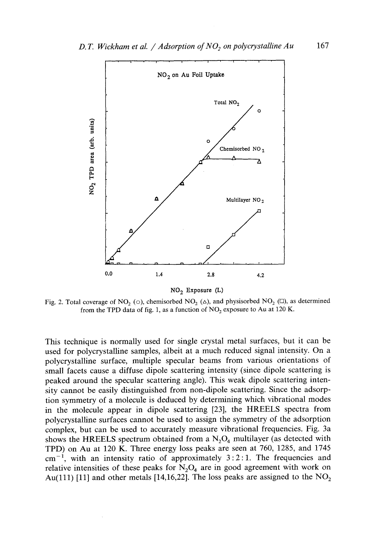

NO<sub>2</sub> Exposure  $(L)$ 

Fig. 2. Total coverage of NO<sub>2</sub> ( $\circ$ ), chemisorbed NO<sub>2</sub> ( $\triangle$ ), and physisorbed NO<sub>2</sub> ( $\Box$ ), as determined from the TPD data of fig. 1, as a function of  $NO<sub>2</sub>$  exposure to Au at 120 K.

This technique is normally used for single crystal metal surfaces, but it can be used for polycrystalline samples, albeit at a much reduced signal intensity. On a polycrystalline surface, multiple specular beams from various orientations of small facets cause a diffuse dipole scattering intensity (since dipole scattering is peaked around the specular scattering angle). This weak dipole scattering intensity cannot be easily distinguished from non-dipole scattering. Since the adsorption symmetry of a molecule is deduced by determining which vibrational modes in the molecule appear in dipole scattering [23], the HREELS spectra from polycrystalline surfaces cannot be used to assign the symmetry of the adsorption complex, but can be used to accurately measure vibrational frequencies. Fig. 3a shows the HREELS spectrum obtained from a  $N_2O_4$  multilayer (as detected with TPD) on Au at 120 K. Three energy loss peaks are seen at 760, 1285, and 1745  $cm<sup>-1</sup>$ , with an intensity ratio of approximately 3:2:1. The frequencies and relative intensities of these peaks for  $N_2O_4$  are in good agreement with work on Au(111) [11] and other metals [14,16,22]. The loss peaks are assigned to the  $NO<sub>2</sub>$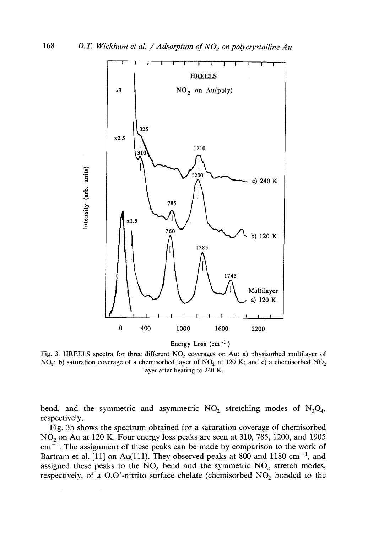

Fig. 3. HREELS spectra for three different  $NO<sub>2</sub>$  coverages on Au: a) physisorbed multilayer of NO<sub>2</sub>; b) saturation coverage of a chemisorbed layer of NO<sub>2</sub> at 120 K; and c) a chemisorbed NO<sub>2</sub> layer after heating to 240 K.

bend, and the symmetric and asymmetric  $NO_2$  stretching modes of  $N_2O_4$ , respectively.

Fig. 3b shows the spectrum obtained for a saturation coverage of chemisorbed NO<sub>2</sub> on Au at 120 K. Four energy loss peaks are seen at 310, 785, 1200, and 1905  $cm^{-1}$ . The assignment of these peaks can be made by comparison to the work of Bartram et al. [11] on Au(111). They observed peaks at 800 and 1180  $cm^{-1}$ , and assigned these peaks to the  $NO<sub>2</sub>$  bend and the symmetric  $NO<sub>2</sub>$  stretch modes, respectively, of a O,O'-nitrito surface chelate (chemisorbed  $NO<sub>2</sub>$  bonded to the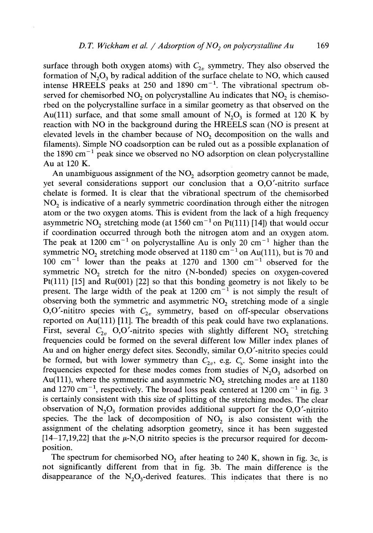surface through both oxygen atoms) with  $C_{2v}$  symmetry. They also observed the formation of  $N_2O_3$  by radical addition of the surface chelate to NO, which caused intense HREELS peaks at 250 and 1890  $cm^{-1}$ . The vibrational spectrum observed for chemisorbed  $NO<sub>2</sub>$  on polycrystalline Au indicates that  $NO<sub>2</sub>$  is chemisorbed on the polycrystalline surface in a similar geometry as that observed on the Au(111) surface, and that some small amount of  $N_2O_3$  is formed at 120 K by reaction with NO in the background during the HREELS scan (NO is present at elevated levels in the chamber because of NO<sub>2</sub> decomposition on the walls and filaments). Simple NO coadsorption can be ruled out as a possible explanation of the 1890  $\text{cm}^{-1}$  peak since we observed no NO adsorption on clean polycrystalline Au at 120 K.

An unambiguous assignment of the  $NO<sub>2</sub>$  adsorption geometry cannot be made, yet several considerations support our conclusion that a O,O'-nitrito surface chelate is formed. It is clear that the vibrational spectrum of the chemisorbed  $NO<sub>2</sub>$  is indicative of a nearly symmetric coordination through either the nitrogen atom or the two oxygen atoms. This is evident from the lack of a high frequency asymmetric NO<sub>2</sub> stretching mode (at  $1560 \text{ cm}^{-1}$  on Pt(111) [14]) that would occur if coordination occurred through both the nitrogen atom and an oxygen atom. The peak at 1200 cm<sup>-1</sup> on polycrystalline Au is only 20 cm<sup>-1</sup> higher than the symmetric  $NO_2$  stretching mode observed at 1180 cm<sup>-1</sup> on Au(111), but is 70 and 100  $cm^{-1}$  lower than the peaks at 1270 and 1300  $cm^{-1}$  observed for the symmetric NO<sub>2</sub> stretch for the nitro (N-bonded) species on oxygen-covered Pt(111) [15] and Ru(001) [22] so that this bonding geometry is not likely to be present. The large width of the peak at  $1200 \text{ cm}^{-1}$  is not simply the result of observing both the symmetric and asymmetric NO<sub>2</sub> stretching mode of a single O,O'-nititro species with  $C_{2v}$  symmetry, based on off-specular observations reported on Au(111) [11]. The breadth of this peak could have two explanations. First, several  $C_{2v}$  O,O'-nitrito species with slightly different NO<sub>2</sub> stretching frequencies could be formed on the several different low Miller index planes of Au and on higher energy defect sites. Secondly, similar O,O'-nitrito species could be formed, but with lower symmetry than  $C_{2v}$ , e.g.  $C_s$ . Some insight into the frequencies expected for these modes comes from studies of  $N_2O_3$  adsorbed on Au(111), where the symmetric and asymmetric  $NO<sub>2</sub>$  stretching modes are at 1180 and 1270 cm<sup>-1</sup>, respectively. The broad loss peak centered at 1200 cm<sup>-1</sup> in fig. 3 is certainly consistent with this size of splitting of the stretching modes. The clear observation of  $N_2O_3$  formation provides additional support for the O,O'-nitrito species. The the lack of decomposition of  $NO<sub>2</sub>$  is also consistent with the assignment of the chelating adsorption geometry, since it has been suggested  $[14-17,19,22]$  that the  $\mu$ -N,O nitrito species is the precursor required for decomposition.

The spectrum for chemisorbed  $NO<sub>2</sub>$  after heating to 240 K, shown in fig. 3c, is not significantly different from that in fig. 3b. The main difference is the disappearance of the  $N_2O_3$ -derived features. This indicates that there is no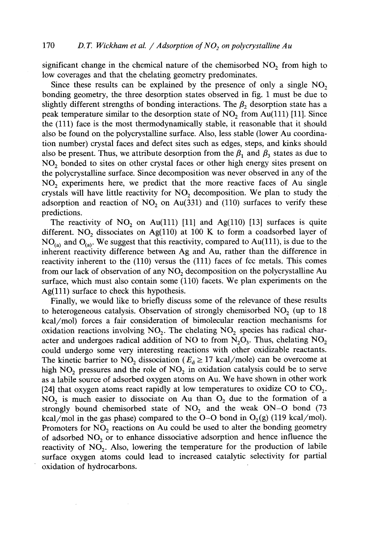significant change in the chemical nature of the chemisorbed  $NO<sub>2</sub>$  from high to low coverages and that the chelating geometry predominates.

Since these results can be explained by the presence of only a single  $NO<sub>2</sub>$ bonding geometry, the three desorption states observed in fig. 1 must be due to slightly different strengths of bonding interactions. The  $\beta_2$  desorption state has a peak temperature similar to the desorption state of  $NO<sub>2</sub>$  from Au(111) [11]. Since the (111) face is the most thermodynamically stable, it reasonable that it should also be found on the polycrystalline surface. Also, less stable (lower Au coordination number) crystal faces and defect sites such as edges, steps, and kinks should also be present. Thus, we attribute desorption from the  $\beta_1$  and  $\beta_3$  states as due to NO<sub>2</sub> bonded to sites on other crystal faces or other high energy sites present on the polycrystalline surface. Since decomposition was never observed in any of the NO<sub>2</sub> experiments here, we predict that the more reactive faces of Au single crystals will have little reactivity for NO<sub>2</sub> decomposition. We plan to study the adsorption and reaction of  $NO<sub>2</sub>$  on Au(331) and (110) surfaces to verify these predictions.

The reactivity of  $NO<sub>2</sub>$  on Au(111) [11] and Ag(110) [13] surfaces is quite different. NO<sub>2</sub> dissociates on Ag(110) at 100 K to form a coadsorbed layer of  $NO<sub>(a)</sub>$  and  $O<sub>(a)</sub>$ . We suggest that this reactivity, compared to Au(111), is due to the inherent reactivity difference between Ag and Au, rather than the difference in reactivity inherent to the (110) versus the (111) faces of fcc metals. This comes from our lack of observation of any  $NO<sub>2</sub>$  decomposition on the polycrystalline Au surface, which must also contain some (110) facets. We plan experiments on the  $Ag(111)$  surface to check this hypothesis.

Finally, we would like to briefly discuss some of the relevance of these results to heterogeneous catalysis. Observation of strongly chemisorbed  $NO<sub>2</sub>$  (up to 18) kcal/mol) forces a fair consideration of bimolecular reaction mechanisms for oxidation reactions involving  $NO<sub>2</sub>$ . The chelating  $NO<sub>2</sub>$  species has radical character and undergoes radical addition of NO to from  $N_2O_3$ . Thus, chelating  $NO_2$ could undergo some very interesting reactions with other oxidizable reactants. The kinetic barrier to  $NO_2$  dissociation ( $E_d \ge 17$  kcal/mole) can be overcome at high NO<sub>2</sub> pressures and the role of  $NO<sub>2</sub>$  in oxidation catalysis could be to serve as a labile source of adsorbed oxygen atoms on Au. We have shown in other work [24] that oxygen atoms react rapidly at low temperatures to oxidize CO to  $CO<sub>2</sub>$ .  $NO<sub>2</sub>$  is much easier to dissociate on Au than  $O<sub>2</sub>$  due to the formation of a strongly bound chemisorbed state of  $NO<sub>2</sub>$  and the weak ON-O bond (73) kcal/mol in the gas phase) compared to the O-O bond in  $O_2(g)$  (119 kcal/mol). Promoters for  $NO<sub>2</sub>$  reactions on Au could be used to alter the bonding geometry of adsorbed  $NO<sub>2</sub>$  or to enhance dissociative adsorption and hence influence the reactivity of NO<sub>2</sub>. Also, lowering the temperature for the production of labile surface oxygen atoms could lead to increased catalytic selectivity for partial oxidation of hydrocarbons.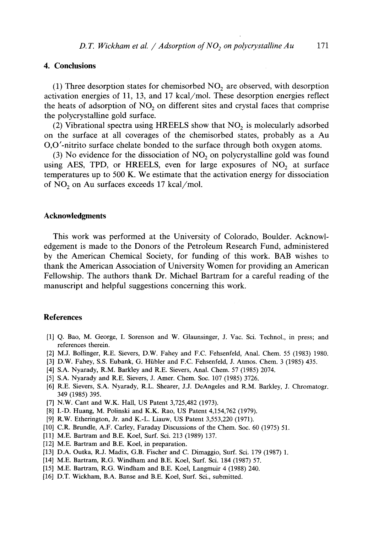# **4. Conclusions**

(1) Three desorption states for chemisorbed  $NO<sub>2</sub>$  are observed, with desorption activation energies of 11, 13, and 17 kcal/mol. These desorption energies reflect the heats of adsorption of  $NO<sub>2</sub>$  on different sites and crystal faces that comprise the polycrystalline gold surface.

(2) Vibrational spectra using HREELS show that  $NO<sub>2</sub>$  is molecularly adsorbed on the surface at all coverages of the chemisorbed states, probably as a Au O,O'-nitrito surface chelate bonded to the surface through both oxygen atoms.

(3) No evidence for the dissociation of  $NO<sub>2</sub>$  on polycrystalline gold was found using AES, TPD, or HREELS, even for large exposures of  $NO<sub>2</sub>$  at surface temperatures up to 500 K. We estimate that the activation energy for dissociation of  $NO<sub>2</sub>$  on Au surfaces exceeds 17 kcal/mol.

#### **Acknowledgments**

This work was performed at the University of Colorado, Boulder. Acknowledgement is made to the Donors of the Petroleum Research Fund, administered by the American Chemical Society, for funding of this work. BAB wishes to thank the American Association of University Women for providing an American Fellowship. The authors thank Dr. Michael Bartram for a careful reading of the manuscript and helpful suggestions concerning this work.

# **References**

- [1] Q. Bao, M. George, I. Sorenson and W. Glaunsinger, J. Vac. Sci. Technol., in press; and references therein.
- [2] M.J. Bollinger, R.E. Sievers, D.W. Fahey and F.C. Fehsenfeld, Anal. Chem. 55 (1983) 1980.
- [3] D.W. Fahey, S.S. Eubank, G. Hiibler and F.C. Fehsenfeld, J. Atmos. Chem. 3 (1985) 435.
- [4] S.A. Nyarady, R.M. Barkley and R.E. Sievers, Anal. Chem. 57 (1985) 2074.
- [5] S.A. Nyarady and R.E. Sievers, J. Amer. Chem. Soc. 107 (1985) 3726.
- [6] R.E. Sievers, S.A. Nyarady, R.L. Shearer, J.J. DeAngeles and R.M. Barkley, J. Chromatogr. 349 (1985) 395.
- [7] N.W. Cant and W.K. Hall, US Patent 3,725,482 (1973).
- [8] I.-D. Huang, M. Polinski and K.K. Rao, US Patent 4,154,762 (1979).
- [9] R.W. Etherington, Jr. and K.-L. Liauw, US Patent 3,553,220 (1971).
- [10] C.R. Brundle, A.F. Carley, Faraday Discussions of the Chem. Soc. 60 (1975) 51.
- [11] M.E. Bartram and B.E. Koel, Surf. Sci. 213 (1989) 137.
- [12] M.E. Bartram and B.E. Koel, in preparation.
- [13] D.A. Outka, R.J. Madix, G.B. Fischer and C. Dimaggio, Surf. Sci. 179 (1987) 1.
- [14] M.E. Bartram, R.G. Windham and B.E. Koel, Surf. Sci. 184 (1987) 57.
- [15] M.E. Bartram, R.G. Windham and B.E. Koel, Langmuir 4 (1988) 240.
- [16] D.T. Wickham, B.A. Banse and B.E. Koel, Surf. Sci., submitted.